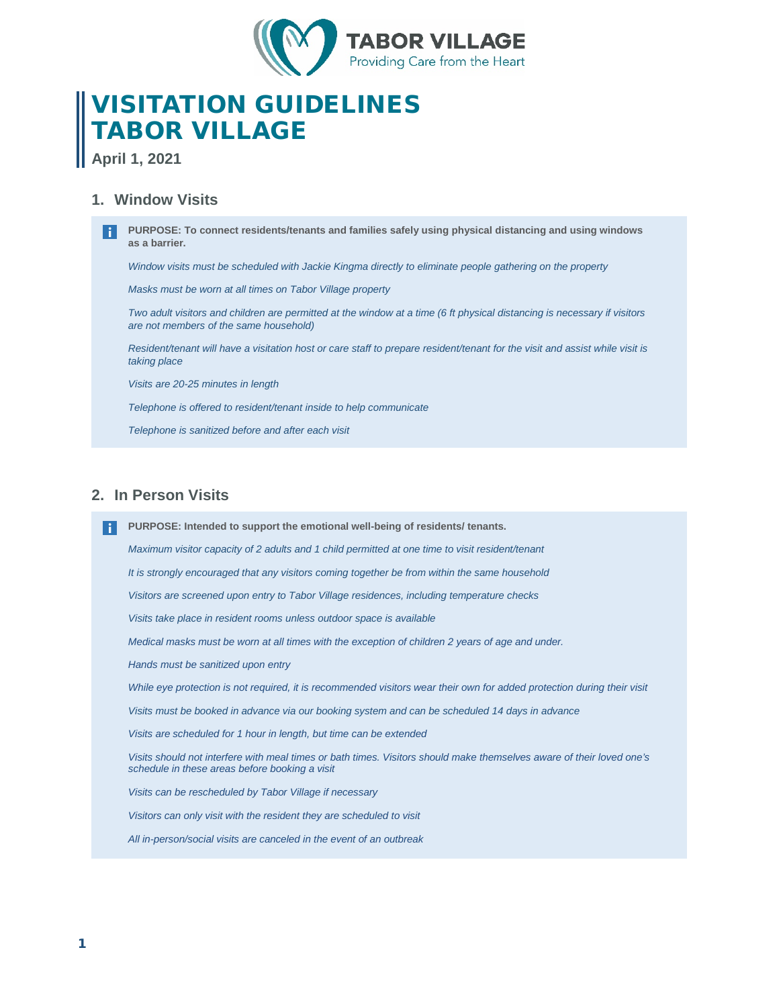

# VISITATION GUIDELINES TABOR VILLAGE

**April 1, 2021**

# **1. Window Visits**

**PURPOSE: To connect residents/tenants and families safely using physical distancing and using windows as a barrier.** 

*Window visits must be scheduled with Jackie Kingma directly to eliminate people gathering on the property*

*Masks must be worn at all times on Tabor Village property*

*Two adult visitors and children are permitted at the window at a time (6 ft physical distancing is necessary if visitors are not members of the same household)*

*Resident/tenant will have a visitation host or care staff to prepare resident/tenant for the visit and assist while visit is taking place*

*Visits are 20-25 minutes in length*

*Telephone is offered to resident/tenant inside to help communicate* 

*Telephone is sanitized before and after each visit*

# **2. In Person Visits**

**PURPOSE: Intended to support the emotional well-being of residents/ tenants.**

*Maximum visitor capacity of 2 adults and 1 child permitted at one time to visit resident/tenant*

*It is strongly encouraged that any visitors coming together be from within the same household*

*Visitors are screened upon entry to Tabor Village residences, including temperature checks*

*Visits take place in resident rooms unless outdoor space is available*

*Medical masks must be worn at all times with the exception of children 2 years of age and under.* 

*Hands must be sanitized upon entry*

*While eye protection is not required, it is recommended visitors wear their own for added protection during their visit*

*Visits must be booked in advance via our booking system and can be scheduled 14 days in advance*

*Visits are scheduled for 1 hour in length, but time can be extended*

*Visits should not interfere with meal times or bath times. Visitors should make themselves aware of their loved one's schedule in these areas before booking a visit*

*Visits can be rescheduled by Tabor Village if necessary* 

*Visitors can only visit with the resident they are scheduled to visit*

*All in-person/social visits are canceled in the event of an outbreak*